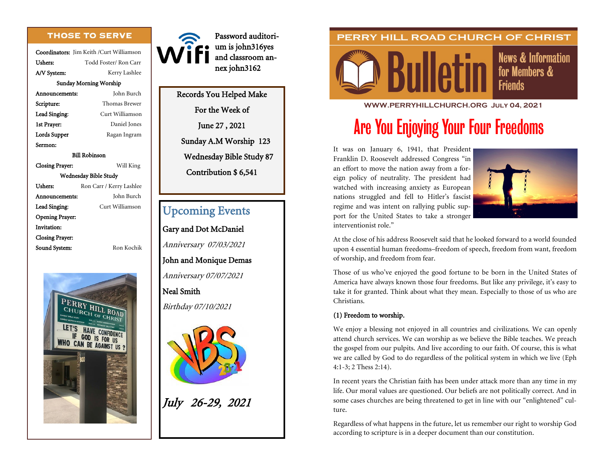# **THOSE TO SERVE**

Coordinators: Jim Keith /Curt Williamson Ushers: Todd Foster/ Ron Carr A/V System: Kerry Lashlee Sunday Morning Worship Announcements: John Burch Scripture: Thomas Brewer Lead Singing: Curt Williamson 1st Prayer: Daniel Jones Lords Supper Ragan Ingram Sermon: Bill Robinson Closing Prayer: Will King Wednesday Bible Study Ushers: Ron Carr / Kerry Lashlee Announcements: John Burch Lead Singing: Curt Williamson

Opening Prayer: Invitation: Closing Prayer:



Sound System: Ron Kochik



Password auditorium is john316yes and classroom annex john3162

Records You Helped Make For the Week of June 27 , 2021 Sunday A.M Worship 123 Wednesday Bible Study 87 Contribution \$ 6,541

# Upcoming Events

Gary and Dot McDaniel

Anniversary 07/03/2021

John and Monique Demas

Anniversary 07/07/2021

Neal Smith

Birthday 07/10/2021



July 26-29, 2021

# PERRY HILL ROAD CHURCH OF CHRIST



**News & Information** for Members & **Friends** 

#### **WWW.PERRYHILLCHURCH.ORG July 04, 2021**

# Are You Enjoying Your Four Freedoms

It was on January 6, 1941, that President Franklin D. Roosevelt addressed Congress "in an effort to move the nation away from a foreign policy of neutrality. The president had watched with increasing anxiety as European nations struggled and fell to Hitler's fascist regime and was intent on rallying public support for the United States to take a stronger interventionist role."



At the close of his address Roosevelt said that he looked forward to a world founded upon 4 essential human freedoms–freedom of speech, freedom from want, freedom of worship, and freedom from fear.

Those of us who've enjoyed the good fortune to be born in the United States of America have always known those four freedoms. But like any privilege, it's easy to take it for granted. Think about what they mean. Especially to those of us who are Christians.

## (1) Freedom to worship.

We enjoy a blessing not enjoyed in all countries and civilizations. We can openly attend church services. We can worship as we believe the Bible teaches. We preach the gospel from our pulpits. And live according to our faith. Of course, this is what we are called by God to do regardless of the political system in which we live (Eph 4:1-3; 2 Thess 2:14).

In recent years the Christian faith has been under attack more than any time in my life. Our moral values are questioned. Our beliefs are not politically correct. And in some cases churches are being threatened to get in line with our "enlightened" culture.

Regardless of what happens in the future, let us remember our right to worship God according to scripture is in a deeper document than our constitution.